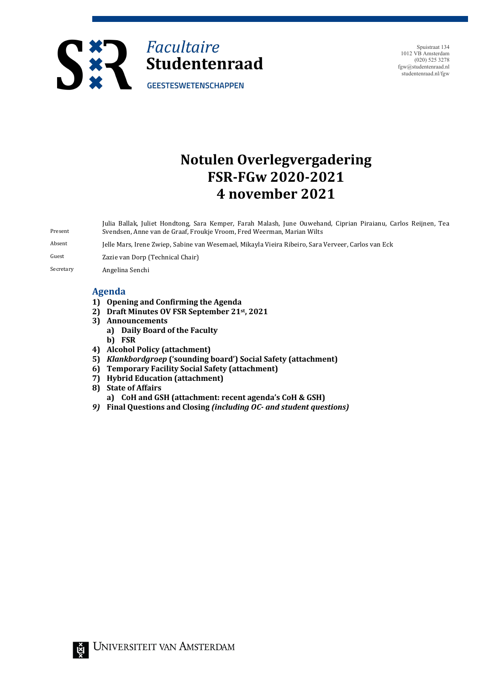

Spuistraat 134 1012 VB Amsterdam (020) 525 3278 fgw@studentenraad.nl studentenraad.nl/fgw

# **Notulen Overlegvergadering FSR-FGw 2020-2021 4 november 2021**

Present Julia Ballak, Juliet Hondtong, Sara Kemper, Farah Malash, June Ouwehand, Ciprian Piraianu, Carlos Reijnen, Tea Svendsen, Anne van de Graaf, Froukje Vroom, Fred Weerman, Marian Wilts

Absent Jelle Mars, Irene Zwiep, Sabine van Wesemael, Mikayla Vieira Ribeiro, Sara Verveer, Carlos van Eck

Guest **Zazie van Dorp (Technical Chair)** 

Secretary **Angelina Senchi** 

### **Agenda**

- 1) Opening and Confirming the Agenda
- **2) Draft Minutes OV FSR September 21st, 2021**
- **3) Announcements** 
	- **a) Daily Board of the Faculty**
	- **b) FSR**
- **4) Alcohol Policy (attachment)**
- **5)** *Klankbordgroep* ('sounding board') Social Safety (attachment)
- **6) Temporary Facility Social Safety (attachment)**
- **7) Hybrid Education (attachment)**
- **8)** State of Affairs
- **a) CoH and GSH (attachment: recent agenda's CoH & GSH)**
- **9)** Final Questions and Closing (including OC- and student questions)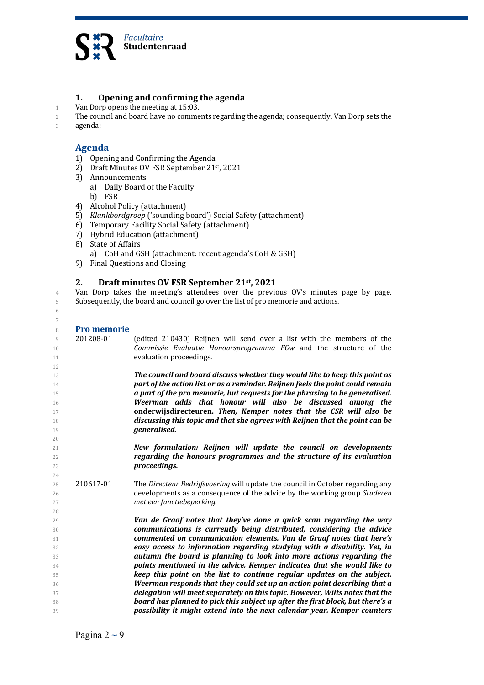

## **1. Opening and confirming the agenda**

- 1 Van Dorp opens the meeting at 15:03.
- 2 The council and board have no comments regarding the agenda; consequently, Van Dorp sets the
- 3 agenda:

## **Agenda**

- 1) Opening and Confirming the Agenda
- 2) Draft Minutes OV FSR September 21<sup>st</sup>, 2021
- 3) Announcements
	- a) Daily Board of the Faculty
	- b) FSR
- 4) Alcohol Policy (attachment)
- 5) *Klankbordgroep* ('sounding board') Social Safety (attachment)
- 6) Temporary Facility Social Safety (attachment)
- 7) Hybrid Education (attachment)
- 8) State of Affairs
	- a) CoH and GSH (attachment: recent agenda's CoH & GSH)
- 9) Final Questions and Closing

#### 2. Draft minutes OV FSR September 21<sup>st</sup>, 2021

4 Van Dorp takes the meeting's attendees over the previous OV's minutes page by page. 5 Subsequently, the board and council go over the list of pro memorie and actions.

| Duo mo |  |
|--------|--|

6 7

| 8        | <b>Pro memorie</b> |                                                                                                                                              |
|----------|--------------------|----------------------------------------------------------------------------------------------------------------------------------------------|
| 9        | 201208-01          | (edited 210430) Reijnen will send over a list with the members of the                                                                        |
| 10       |                    | Commissie Evaluatie Honoursprogramma FGw and the structure of the                                                                            |
| 11       |                    | evaluation proceedings.                                                                                                                      |
| 12       |                    |                                                                                                                                              |
| 13       |                    | The council and board discuss whether they would like to keep this point as                                                                  |
| 14       |                    | part of the action list or as a reminder. Reijnen feels the point could remain                                                               |
| 15       |                    | a part of the pro memorie, but requests for the phrasing to be generalised.                                                                  |
| 16       |                    | Weerman adds that honour will also be discussed among the                                                                                    |
| 17       |                    | onderwijsdirecteuren. Then, Kemper notes that the CSR will also be                                                                           |
| 18       |                    | discussing this topic and that she agrees with Reijnen that the point can be                                                                 |
| 19       |                    | generalised.                                                                                                                                 |
| 20       |                    |                                                                                                                                              |
| 21       |                    | New formulation: Reijnen will update the council on developments                                                                             |
| 22       |                    | regarding the honours programmes and the structure of its evaluation                                                                         |
| 23       |                    | proceedings.                                                                                                                                 |
| 24       |                    |                                                                                                                                              |
| 25       | 210617-01          | The Directeur Bedrijfsvoering will update the council in October regarding any                                                               |
| 26       |                    | developments as a consequence of the advice by the working group Studeren                                                                    |
| 27       |                    | met een functiebeperking.                                                                                                                    |
| 28       |                    |                                                                                                                                              |
| 29       |                    | Van de Graaf notes that they've done a quick scan regarding the way                                                                          |
| 30       |                    | communications is currently being distributed, considering the advice<br>commented on communication elements. Van de Graaf notes that here's |
| 31       |                    | easy access to information regarding studying with a disability. Yet, in                                                                     |
| 32<br>33 |                    | autumn the board is planning to look into more actions regarding the                                                                         |
| 34       |                    | points mentioned in the advice. Kemper indicates that she would like to                                                                      |
| 35       |                    | keep this point on the list to continue regular updates on the subject.                                                                      |
| 36       |                    | Weerman responds that they could set up an action point describing that a                                                                    |
| 37       |                    | delegation will meet separately on this topic. However, Wilts notes that the                                                                 |
| 38       |                    | board has planned to pick this subject up after the first block, but there's a                                                               |
| 39       |                    | possibility it might extend into the next calendar year. Kemper counters                                                                     |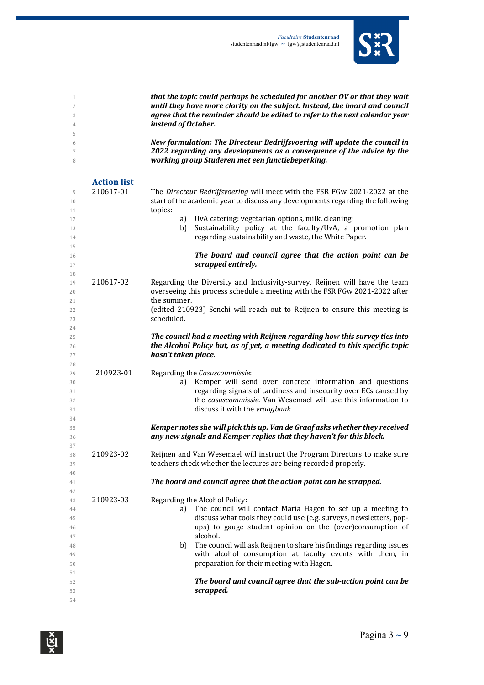

| $\mathbf{1}$<br>2<br>3<br>4<br>5                   |                                 | that the topic could perhaps be scheduled for another OV or that they wait<br>until they have more clarity on the subject. Instead, the board and council<br>agree that the reminder should be edited to refer to the next calendar year<br>instead of October.                                                                                                                                                                         |
|----------------------------------------------------|---------------------------------|-----------------------------------------------------------------------------------------------------------------------------------------------------------------------------------------------------------------------------------------------------------------------------------------------------------------------------------------------------------------------------------------------------------------------------------------|
| 6<br>7<br>8                                        |                                 | New formulation: The Directeur Bedrijfsvoering will update the council in<br>2022 regarding any developments as a consequence of the advice by the<br>working group Studeren met een functiebeperking.                                                                                                                                                                                                                                  |
| 9<br>10<br>11<br>12<br>13<br>14                    | <b>Action list</b><br>210617-01 | The Directeur Bedrijfsvoering will meet with the FSR FGw 2021-2022 at the<br>start of the academic year to discuss any developments regarding the following<br>topics:<br>UvA catering: vegetarian options, milk, cleaning;<br>a)<br>Sustainability policy at the faculty/UvA, a promotion plan<br>b)<br>regarding sustainability and waste, the White Paper.                                                                           |
| 15<br>16<br>17                                     |                                 | The board and council agree that the action point can be<br>scrapped entirely.                                                                                                                                                                                                                                                                                                                                                          |
| 18<br>19<br>20<br>21<br>22<br>23                   | 210617-02                       | Regarding the Diversity and Inclusivity-survey, Reijnen will have the team<br>overseeing this process schedule a meeting with the FSR FGw 2021-2022 after<br>the summer.<br>(edited 210923) Senchi will reach out to Reijnen to ensure this meeting is<br>scheduled.                                                                                                                                                                    |
| 24<br>25<br>26<br>27                               |                                 | The council had a meeting with Reijnen regarding how this survey ties into<br>the Alcohol Policy but, as of yet, a meeting dedicated to this specific topic<br>hasn't taken place.                                                                                                                                                                                                                                                      |
| 28<br>29<br>30<br>31<br>32<br>33                   | 210923-01                       | Regarding the Casuscommissie:<br>Kemper will send over concrete information and questions<br>a)<br>regarding signals of tardiness and insecurity over ECs caused by<br>the casuscommissie. Van Wesemael will use this information to<br>discuss it with the vraagbaak.                                                                                                                                                                  |
| 34<br>35<br>36                                     |                                 | Kemper notes she will pick this up. Van de Graaf asks whether they received<br>any new signals and Kemper replies that they haven't for this block.                                                                                                                                                                                                                                                                                     |
| 37<br>38<br>39                                     | 210923-02                       | Reijnen and Van Wesemael will instruct the Program Directors to make sure<br>teachers check whether the lectures are being recorded properly.                                                                                                                                                                                                                                                                                           |
| 40<br>41                                           |                                 | The board and council agree that the action point can be scrapped.                                                                                                                                                                                                                                                                                                                                                                      |
| 42<br>43<br>44<br>45<br>46<br>47<br>48<br>49<br>50 | 210923-03                       | Regarding the Alcohol Policy:<br>The council will contact Maria Hagen to set up a meeting to<br>a)<br>discuss what tools they could use (e.g. surveys, newsletters, pop-<br>ups) to gauge student opinion on the (over)consumption of<br>alcohol.<br>The council will ask Reijnen to share his findings regarding issues<br>b)<br>with alcohol consumption at faculty events with them, in<br>preparation for their meeting with Hagen. |
| 51<br>52<br>53<br>54                               |                                 | The board and council agree that the sub-action point can be<br>scrapped.                                                                                                                                                                                                                                                                                                                                                               |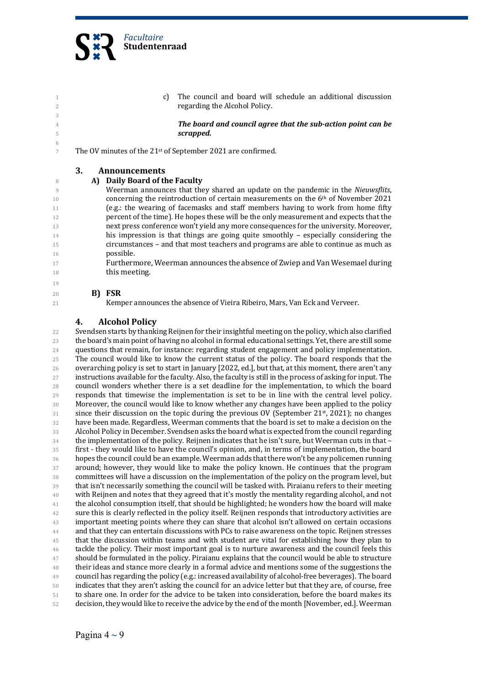

| 1<br>2              |    | C)                            | The council and board will schedule an additional discussion<br>regarding the Alcohol Policy. |
|---------------------|----|-------------------------------|-----------------------------------------------------------------------------------------------|
| 3                   |    |                               |                                                                                               |
| $\overline{4}$<br>5 |    |                               | The board and council agree that the sub-action point can be<br>scrapped.                     |
| -6                  |    |                               |                                                                                               |
| 7                   |    |                               | The OV minutes of the 21 <sup>st</sup> of September 2021 are confirmed.                       |
|                     |    |                               |                                                                                               |
|                     | 3. | <b>Announcements</b>          |                                                                                               |
|                     |    |                               |                                                                                               |
| -8                  |    | A) Daily Board of the Faculty |                                                                                               |
| 9                   |    |                               | Weerman announces that they shared an update on the pandemic in the Nieuwsflits,              |
| 10                  |    |                               | concerning the reintroduction of certain measurements on the $6th$ of November 2021           |
| 11                  |    |                               | (e.g.: the wearing of facemasks and staff members having to work from home fifty              |
| 12                  |    |                               | percent of the time). He hopes these will be the only measurement and expects that the        |
| 13                  |    |                               | next press conference won't yield any more consequences for the university. Moreover,         |
|                     |    |                               |                                                                                               |
| 14                  |    |                               | his impression is that things are going quite smoothly $-$ especially considering the         |
| 15                  |    |                               | circumstances - and that most teachers and programs are able to continue as much as           |
| 16                  |    | possible.                     |                                                                                               |
| 17                  |    |                               | Furthermore, Weerman announces the absence of Zwiep and Van Wesemael during                   |
| 18                  |    | this meeting.                 |                                                                                               |
| 19                  |    |                               |                                                                                               |
|                     |    |                               |                                                                                               |
| 20                  |    | B) FSR                        |                                                                                               |
| 21                  |    |                               | Kemper announces the absence of Vieira Ribeiro, Mars, Van Eck and Verveer.                    |
|                     |    |                               |                                                                                               |

## **4. Alcohol Policy**

22 Svendsen starts by thanking Reijnen for their insightful meeting on the policy, which also clarified 23 the board's main point of having no alcohol in formal educational settings. Yet, there are still some 24 questions that remain, for instance: regarding student engagement and policy implementation. 25 The council would like to know the current status of the policy. The board responds that the 26 overarching policy is set to start in January [2022, ed.], but that, at this moment, there aren't any 27 instructions available for the faculty. Also, the faculty is still in the process of asking for input. The  $28$  council wonders whether there is a set deadline for the implementation, to which the board 29 responds that timewise the implementation is set to be in line with the central level policy. 30 Moreover, the council would like to know whether any changes have been applied to the policy  $31$  since their discussion on the topic during the previous OV (September 21<sup>st</sup>, 2021); no changes 32 have been made. Regardless, Weerman comments that the board is set to make a decision on the 33 Alcohol Policy in December. Svendsen asks the board what is expected from the council regarding  $34$  the implementation of the policy. Reijnen indicates that he isn't sure, but Weerman cuts in that – 35 first - they would like to have the council's opinion, and, in terms of implementation, the board 36 hopes the council could be an example. Weerman adds that there won't be any policemen running 37 around; however, they would like to make the policy known. He continues that the program 38 committees will have a discussion on the implementation of the policy on the program level, but 39 that isn't necessarily something the council will be tasked with. Piraianu refers to their meeting <sup>40</sup> with Reijnen and notes that they agreed that it's mostly the mentality regarding alcohol, and not <sup>41</sup> the alcohol consumption itself, that should be highlighted; he wonders how the board will make <sup>42</sup> sure this is clearly reflected in the policy itself. Reijnen responds that introductory activities are <sup>43</sup> important meeting points where they can share that alcohol isn't allowed on certain occasions 44 and that they can entertain discussions with PCs to raise awareness on the topic. Reijnen stresses <sup>45</sup> that the discussion within teams and with student are vital for establishing how they plan to 46 tackle the policy. Their most important goal is to nurture awareness and the council feels this <sup>47</sup> should be formulated in the policy. Piraianu explains that the council would be able to structure <sup>48</sup> their ideas and stance more clearly in a formal advice and mentions some of the suggestions the 49 council has regarding the policy (e.g.: increased availability of alcohol-free beverages). The board 50 indicates that they aren't asking the council for an advice letter but that they are, of course, free 51 to share one. In order for the advice to be taken into consideration, before the board makes its 52 decision, they would like to receive the advice by the end of the month [November, ed.]. Weerman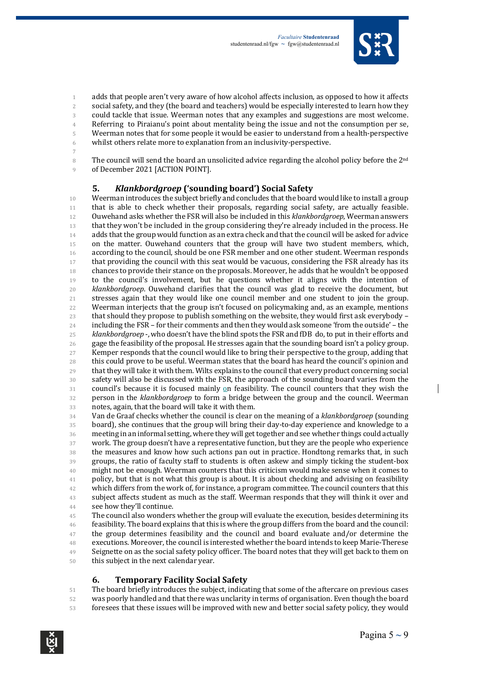

1 adds that people aren't very aware of how alcohol affects inclusion, as opposed to how it affects 2 social safety, and they (the board and teachers) would be especially interested to learn how they 3 could tackle that issue. Weerman notes that any examples and suggestions are most welcome. 4 Referring to Piraianu's point about mentality being the issue and not the consumption per se, 5 Weerman notes that for some people it would be easier to understand from a health-perspective 6 whilst others relate more to explanation from an inclusivity-perspective.

7

8 The council will send the board an unsolicited advice regarding the alcohol policy before the 2<sup>nd</sup> 9 of December 2021 [ACTION POINT].

### **5.** *Klankbordgroep* **('sounding board') Social Safety**

10 Weerman introduces the subject briefly and concludes that the board would like to install a group 11 that is able to check whether their proposals, regarding social safety, are actually feasible. 12 Ouwehand asks whether the FSR will also be included in this *klankbordgroep*, Weerman answers 13 that they won't be included in the group considering they're already included in the process. He 14 adds that the group would function as an extra check and that the council will be asked for advice 15 on the matter. Ouwehand counters that the group will have two student members, which, 16 according to the council, should be one FSR member and one other student. Weerman responds 17 that providing the council with this seat would be vacuous, considering the FSR already has its 18 chances to provide their stance on the proposals. Moreover, he adds that he wouldn't be opposed 19 to the council's involvement, but he questions whether it aligns with the intention of 20 *klankbordgroep*. Ouwehand clarifies that the council was glad to receive the document, but 21 stresses again that they would like one council member and one student to join the group. 22 Weerman interjects that the group isn't focused on policymaking and, as an example, mentions 23 that should they propose to publish something on the website, they would first ask everybody -24 including the FSR – for their comments and then they would ask someone 'from the outside' – the <sup>25</sup> *klankbordgroep* -, who doesn't have the blind spots the FSR and fDB do, to put in their efforts and 26 gage the feasibility of the proposal. He stresses again that the sounding board isn't a policy group. 27 Kemper responds that the council would like to bring their perspective to the group, adding that 28 this could prove to be useful. Weerman states that the board has heard the council's opinion and  $29$  that they will take it with them. Wilts explains to the council that every product concerning social 30 safety will also be discussed with the FSR, the approach of the sounding board varies from the 31 council's because it is focused mainly on feasibility. The council counters that they wish the 32 person in the *klankbordgroep* to form a bridge between the group and the council. Weerman 33 notes, again, that the board will take it with them.

34 Van de Graaf checks whether the council is clear on the meaning of a *klankbordgroep* (sounding 35 board), she continues that the group will bring their day-to-day experience and knowledge to a 36 meeting in an informal setting, where they will get together and see whether things could actually  $37$  work. The group doesn't have a representative function, but they are the people who experience 38 the measures and know how such actions pan out in practice. Hondtong remarks that, in such 39 groups, the ratio of faculty staff to students is often askew and simply ticking the student-box <sup>40</sup> might not be enough. Weerman counters that this criticism would make sense when it comes to <sup>41</sup> policy, but that is not what this group is about. It is about checking and advising on feasibility 42 which differs from the work of, for instance, a program committee. The council counters that this 43 subject affects student as much as the staff. Weerman responds that they will think it over and 44 see how they'll continue.

45 The council also wonders whether the group will evaluate the execution, besides determining its 46 feasibility. The board explains that this is where the group differs from the board and the council: <sup>47</sup> the group determines feasibility and the council and board evaluate and/or determine the 48 executions. Moreover, the council is interested whether the board intends to keep Marie-Therese 49 Seignette on as the social safety policy officer. The board notes that they will get back to them on 50 this subject in the next calendar year.

### **6. Temporary Facility Social Safety**

51 The board briefly introduces the subject, indicating that some of the aftercare on previous cases 52 was poorly handled and that there was unclarity in terms of organisation. Even though the board 53 foresees that these issues will be improved with new and better social safety policy, they would

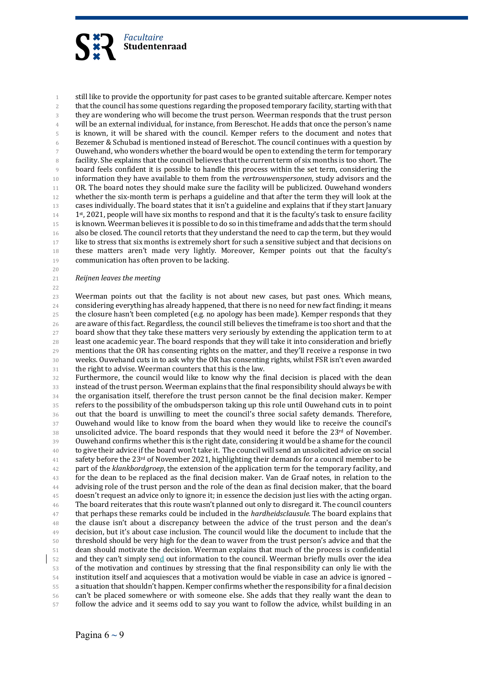

1 still like to provide the opportunity for past cases to be granted suitable aftercare. Kemper notes 2 that the council has some questions regarding the proposed temporary facility, starting with that 3 they are wondering who will become the trust person. Weerman responds that the trust person 4 will be an external individual, for instance, from Bereschot. He adds that once the person's name 5 is known, it will be shared with the council. Kemper refers to the document and notes that 6 Bezemer & Schubad is mentioned instead of Bereschot. The council continues with a question by 7 Ouwehand, who wonders whether the board would be open to extending the term for temporary 8 facility. She explains that the council believes that the current term of six months is too short. The 9 board feels confident it is possible to handle this process within the set term, considering the 10 information they have available to them from the *vertrouwenspersonen*, study advisors and the 11 OR. The board notes they should make sure the facility will be publicized. Ouwehand wonders 12 whether the six-month term is perhaps a guideline and that after the term they will look at the 13 cases individually. The board states that it isn't a guideline and explains that if they start January  $14$  1st, 2021, people will have six months to respond and that it is the faculty's task to ensure facility 15 is known. Weerman believes it is possible to do so in this timeframe and adds that the term should 16 also be closed. The council retorts that they understand the need to cap the term, but they would 17 like to stress that six months is extremely short for such a sensitive subject and that decisions on 18 these matters aren't made very lightly. Moreover, Kemper points out that the faculty's 19 communication has often proven to be lacking.

- 21 **Reijnen leaves the meeting**
- 22

20

23 Weerman points out that the facility is not about new cases, but past ones. Which means, 24 considering everything has already happened, that there is no need for new fact finding; it means 25 the closure hasn't been completed (e.g. no apology has been made). Kemper responds that they 26 are aware of this fact. Regardless, the council still believes the timeframe is too short and that the 27 board show that they take these matters very seriously by extending the application term to at 28 least one academic year. The board responds that they will take it into consideration and briefly 29 mentions that the OR has consenting rights on the matter, and they'll receive a response in two 30 weeks. Ouwehand cuts in to ask why the OR has consenting rights, whilst FSR isn't even awarded 31 the right to advise. Weerman counters that this is the law.

32 Furthermore, the council would like to know why the final decision is placed with the dean 33 instead of the trust person. Weerman explains that the final responsibility should always be with 34 the organisation itself, therefore the trust person cannot be the final decision maker. Kemper 35 refers to the possibility of the ombudsperson taking up this role until Ouwehand cuts in to point 36 out that the board is unwilling to meet the council's three social safety demands. Therefore, 37 Ouwehand would like to know from the board when they would like to receive the council's 38 unsolicited advice. The board responds that they would need it before the 23rd of November. 39 Ouwehand confirms whether this is the right date, considering it would be a shame for the council <sup>40</sup> to give their advice if the board won't take it. The council will send an unsolicited advice on social 41 safety before the  $23^{rd}$  of November 2021, highlighting their demands for a council member to be <sup>42</sup> part of the *klankbordgroep*, the extension of the application term for the temporary facility, and <sup>43</sup> for the dean to be replaced as the final decision maker. Van de Graaf notes, in relation to the 44 advising role of the trust person and the role of the dean as final decision maker, that the board 45 doesn't request an advice only to ignore it; in essence the decision just lies with the acting organ. <sup>46</sup> The board reiterates that this route wasn't planned out only to disregard it. The council counters <sup>47</sup> that perhaps these remarks could be included in the *hardheidsclausule*. The board explains that  $48$  the clause isn't about a discrepancy between the advice of the trust person and the dean's 49 decision, but it's about case inclusion. The council would like the document to include that the 50 threshold should be very high for the dean to waver from the trust person's advice and that the 51 dean should motivate the decision. Weerman explains that much of the process is confidential 52 and they can't simply send out information to the council. Weerman briefly mulls over the idea 53 of the motivation and continues by stressing that the final responsibility can only lie with the 54 institution itself and acquiesces that a motivation would be viable in case an advice is ignored – 55 a situation that shouldn't happen. Kemper confirms whether the responsibility for a final decision 56 can't be placed somewhere or with someone else. She adds that they really want the dean to 57 follow the advice and it seems odd to say you want to follow the advice, whilst building in an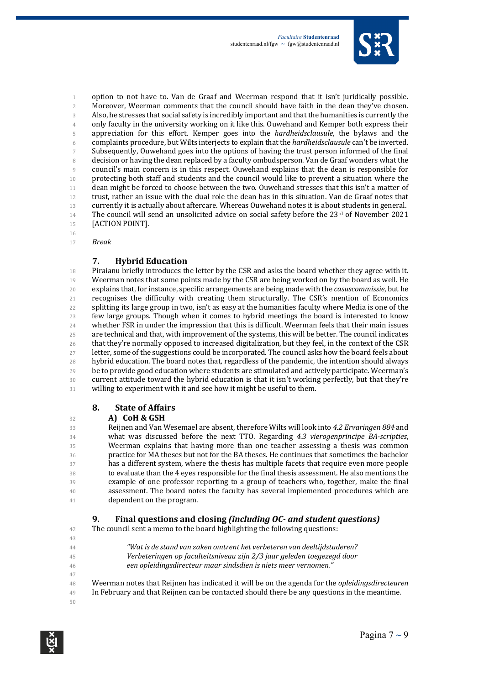

1 option to not have to. Van de Graaf and Weerman respond that it isn't juridically possible. 2 Moreover, Weerman comments that the council should have faith in the dean they've chosen. 3 Also, he stresses that social safety is incredibly important and that the humanities is currently the 4 only faculty in the university working on it like this. Ouwehand and Kemper both express their 5 appreciation for this effort. Kemper goes into the *hardheidsclausule*, the bylaws and the 6 complaints procedure, but Wilts interjects to explain that the *hardheidsclausule* can't be inverted. 7 Subsequently, Ouwehand goes into the options of having the trust person informed of the final 8 decision or having the dean replaced by a faculty ombudsperson. Van de Graaf wonders what the 9 council's main concern is in this respect. Ouwehand explains that the dean is responsible for 10 protecting both staff and students and the council would like to prevent a situation where the 11 dean might be forced to choose between the two. Ouwehand stresses that this isn't a matter of 12 trust, rather an issue with the dual role the dean has in this situation. Van de Graaf notes that 13 currently it is actually about aftercare. Whereas Ouwehand notes it is about students in general. 14 The council will send an unsolicited advice on social safety before the  $23^{rd}$  of November 2021 15 **[ACTION POINT].** 

16

17 *Break*

#### **7. Hybrid Education**

18 Piraianu briefly introduces the letter by the CSR and asks the board whether they agree with it. 19 Weerman notes that some points made by the CSR are being worked on by the board as well. He 20 explains that, for instance, specific arrangements are being made with the *casuscommissie*, but he 21 recognises the difficulty with creating them structurally. The CSR's mention of Economics 22 splitting its large group in two, isn't as easy at the humanities faculty where Media is one of the 23 few large groups. Though when it comes to hybrid meetings the board is interested to know 24 whether FSR in under the impression that this is difficult. Weerman feels that their main issues 25 are technical and that, with improvement of the systems, this will be better. The council indicates 26 that they're normally opposed to increased digitalization, but they feel, in the context of the CSR 27 letter, some of the suggestions could be incorporated. The council asks how the board feels about 28 hybrid education. The board notes that, regardless of the pandemic, the intention should always  $29$  be to provide good education where students are stimulated and actively participate. Weerman's 30 current attitude toward the hybrid education is that it isn't working perfectly, but that they're 31 willing to experiment with it and see how it might be useful to them.

### **8. State of Affairs**

#### <sup>32</sup> **A) CoH & GSH**

33 Reijnen and Van Wesemael are absent, therefore Wilts will look into 4.2 Ervaringen 884 and 34 what was discussed before the next TTO. Regarding 4.3 vierogenprincipe BA-scripties, 35 Weerman explains that having more than one teacher assessing a thesis was common 36 practice for MA theses but not for the BA theses. He continues that sometimes the bachelor 37 has a different system, where the thesis has multiple facets that require even more people 38 to evaluate than the 4 eyes responsible for the final thesis assessment. He also mentions the 39 example of one professor reporting to a group of teachers who, together, make the final 40 assessment. The board notes the faculty has several implemented procedures which are 41 dependent on the program.

### **9.** Final questions and closing *(including OC-* and *student questions)*

42 The council sent a memo to the board highlighting the following questions:

- 43 <sup>44</sup> *Wat is de stand van zaken omtrent het verbeteren van deeltijdstuderen?*
- 45 *Verbeteringen op faculteitsniveau zijn 2/3 jaar geleden toegezegd door*
- 46 *een opleidingsdirecteur maar sindsdien is niets meer vernomen."*
- 47 48 Weerman notes that Reijnen has indicated it will be on the agenda for the *opleidingsdirecteuren* <sup>49</sup> In February and that Reijnen can be contacted should there be any questions in the meantime.
- 50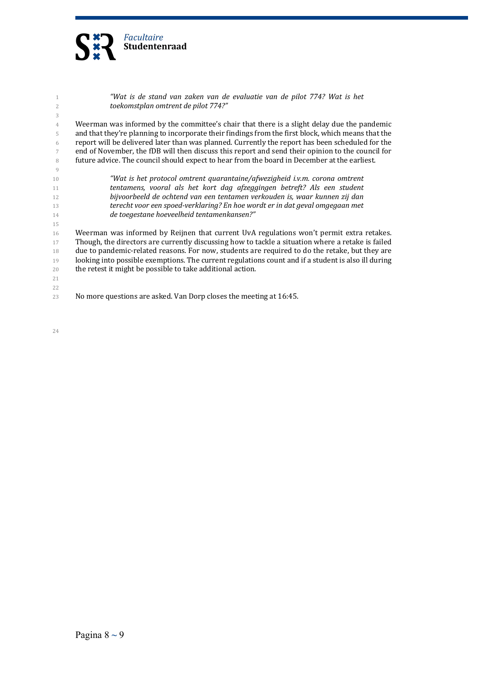

| 1              | "Wat is de stand van zaken van de evaluatie van de pilot 774? Wat is het                            |
|----------------|-----------------------------------------------------------------------------------------------------|
| $\overline{2}$ | toekomstplan omtrent de pilot 774?"                                                                 |
| 3              |                                                                                                     |
| $\overline{4}$ | Weerman was informed by the committee's chair that there is a slight delay due the pandemic         |
| 5              | and that they're planning to incorporate their findings from the first block, which means that the  |
| 6              | report will be delivered later than was planned. Currently the report has been scheduled for the    |
| 7              | end of November, the fDB will then discuss this report and send their opinion to the council for    |
| 8              | future advice. The council should expect to hear from the board in December at the earliest.        |
| 9              |                                                                                                     |
| 10             | "Wat is het protocol omtrent quarantaine/afwezigheid i.v.m. corona omtrent                          |
| 11             | tentamens, vooral als het kort dag afzeggingen betreft? Als een student                             |
| 12             | bijvoorbeeld de ochtend van een tentamen verkouden is, waar kunnen zij dan                          |
| 13             | terecht voor een spoed-verklaring? En hoe wordt er in dat geval omgegaan met                        |
| 14             | de toegestane hoeveelheid tentamenkansen?"                                                          |
| 15             |                                                                                                     |
| 16             | Weerman was informed by Reijnen that current UvA regulations won't permit extra retakes.            |
| 17             | Though, the directors are currently discussing how to tackle a situation where a retake is failed   |
| 18             | due to pandemic-related reasons. For now, students are required to do the retake, but they are      |
| 19             | looking into possible exemptions. The current regulations count and if a student is also ill during |
| 20             | the retest it might be possible to take additional action.                                          |
| 21             |                                                                                                     |
| 22             |                                                                                                     |
| 23             | No more questions are asked. Van Dorp closes the meeting at 16:45.                                  |